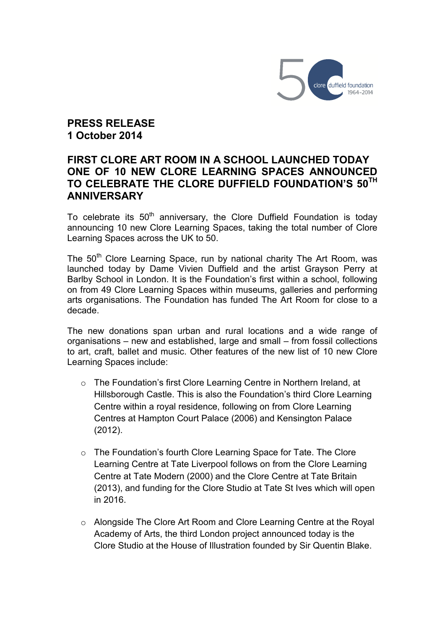

**PRESS RELEASE 1 October 2014**

# **FIRST CLORE ART ROOM IN A SCHOOL LAUNCHED TODAY ONE OF 10 NEW CLORE LEARNING SPACES ANNOUNCED TO CELEBRATE THE CLORE DUFFIELD FOUNDATION'S 50TH ANNIVERSARY**

To celebrate its  $50<sup>th</sup>$  anniversary, the Clore Duffield Foundation is today announcing 10 new Clore Learning Spaces, taking the total number of Clore Learning Spaces across the UK to 50.

The 50<sup>th</sup> Clore Learning Space, run by national charity The Art Room, was launched today by Dame Vivien Duffield and the artist Grayson Perry at Barlby School in London. It is the Foundation's first within a school, following on from 49 Clore Learning Spaces within museums, galleries and performing arts organisations. The Foundation has funded The Art Room for close to a decade.

The new donations span urban and rural locations and a wide range of organisations – new and established, large and small – from fossil collections to art, craft, ballet and music. Other features of the new list of 10 new Clore Learning Spaces include:

- o The Foundation's first Clore Learning Centre in Northern Ireland, at Hillsborough Castle. This is also the Foundation's third Clore Learning Centre within a royal residence, following on from Clore Learning Centres at Hampton Court Palace (2006) and Kensington Palace (2012).
- o The Foundation's fourth Clore Learning Space for Tate. The Clore Learning Centre at Tate Liverpool follows on from the Clore Learning Centre at Tate Modern (2000) and the Clore Centre at Tate Britain (2013), and funding for the Clore Studio at Tate St Ives which will open in 2016.
- o Alongside The Clore Art Room and Clore Learning Centre at the Royal Academy of Arts, the third London project announced today is the Clore Studio at the House of Illustration founded by Sir Quentin Blake.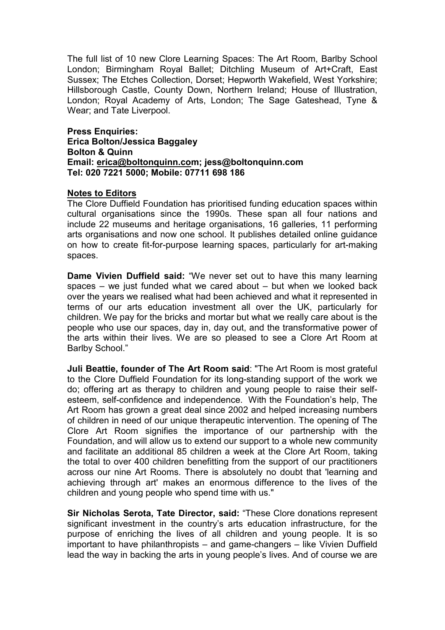The full list of 10 new Clore Learning Spaces: The Art Room, Barlby School London; Birmingham Royal Ballet; Ditchling Museum of Art+Craft, East Sussex; The Etches Collection, Dorset; Hepworth Wakefield, West Yorkshire; Hillsborough Castle, County Down, Northern Ireland; House of Illustration, London; Royal Academy of Arts, London; The Sage Gateshead, Tyne & Wear; and Tate Liverpool.

**Press Enquiries: Erica Bolton/Jessica Baggaley Bolton & Quinn Email: erica@boltonquinn.com; jess@boltonquinn.com Tel: 020 7221 5000; Mobile: 07711 698 186**

#### **Notes to Editors**

The Clore Duffield Foundation has prioritised funding education spaces within cultural organisations since the 1990s. These span all four nations and include 22 museums and heritage organisations, 16 galleries, 11 performing arts organisations and now one school. It publishes detailed online guidance on how to create fit-for-purpose learning spaces, particularly for art-making spaces.

**Dame Vivien Duffield said:** "We never set out to have this many learning spaces – we just funded what we cared about – but when we looked back over the years we realised what had been achieved and what it represented in terms of our arts education investment all over the UK, particularly for children. We pay for the bricks and mortar but what we really care about is the people who use our spaces, day in, day out, and the transformative power of the arts within their lives. We are so pleased to see a Clore Art Room at Barlby School."

**Juli Beattie, founder of The Art Room said**: "The Art Room is most grateful to the Clore Duffield Foundation for its long-standing support of the work we do; offering art as therapy to children and young people to raise their selfesteem, self-confidence and independence. With the Foundation's help, The Art Room has grown a great deal since 2002 and helped increasing numbers of children in need of our unique therapeutic intervention. The opening of The Clore Art Room signifies the importance of our partnership with the Foundation, and will allow us to extend our support to a whole new community and facilitate an additional 85 children a week at the Clore Art Room, taking the total to over 400 children benefitting from the support of our practitioners across our nine Art Rooms. There is absolutely no doubt that 'learning and achieving through art' makes an enormous difference to the lives of the children and young people who spend time with us."

**Sir Nicholas Serota, Tate Director, said:** "These Clore donations represent significant investment in the country's arts education infrastructure, for the purpose of enriching the lives of all children and young people. It is so important to have philanthropists – and game-changers – like Vivien Duffield lead the way in backing the arts in young people's lives. And of course we are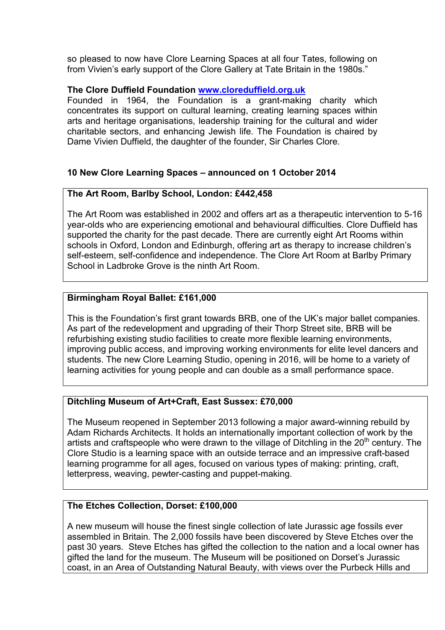so pleased to now have Clore Learning Spaces at all four Tates, following on from Vivien's early support of the Clore Gallery at Tate Britain in the 1980s."

### **The Clore Duffield Foundation www.cloreduffield.org.uk**

Founded in 1964, the Foundation is a grant-making charity which concentrates its support on cultural learning, creating learning spaces within arts and heritage organisations, leadership training for the cultural and wider charitable sectors, and enhancing Jewish life. The Foundation is chaired by Dame Vivien Duffield, the daughter of the founder, Sir Charles Clore.

# **10 New Clore Learning Spaces – announced on 1 October 2014**

# **The Art Room, Barlby School, London: £442,458**

The Art Room was established in 2002 and offers art as a therapeutic intervention to 5-16 year-olds who are experiencing emotional and behavioural difficulties. Clore Duffield has supported the charity for the past decade. There are currently eight Art Rooms within schools in Oxford, London and Edinburgh, offering art as therapy to increase children's self-esteem, self-confidence and independence. The Clore Art Room at Barlby Primary School in Ladbroke Grove is the ninth Art Room.

# **Birmingham Royal Ballet: £161,000**

This is the Foundation's first grant towards BRB, one of the UK's major ballet companies. As part of the redevelopment and upgrading of their Thorp Street site, BRB will be refurbishing existing studio facilities to create more flexible learning environments, improving public access, and improving working environments for elite level dancers and students. The new Clore Learning Studio, opening in 2016, will be home to a variety of learning activities for young people and can double as a small performance space.

# **Ditchling Museum of Art+Craft, East Sussex: £70,000**

The Museum reopened in September 2013 following a major award-winning rebuild by Adam Richards Architects. It holds an internationally important collection of work by the artists and craftspeople who were drawn to the village of Ditchling in the  $20<sup>th</sup>$  century. The Clore Studio is a learning space with an outside terrace and an impressive craft-based learning programme for all ages, focused on various types of making: printing, craft, letterpress, weaving, pewter-casting and puppet-making.

# **The Etches Collection, Dorset: £100,000**

A new museum will house the finest single collection of late Jurassic age fossils ever assembled in Britain. The 2,000 fossils have been discovered by Steve Etches over the past 30 years*.* Steve Etches has gifted the collection to the nation and a local owner has gifted the land for the museum. The Museum will be positioned on Dorset's Jurassic coast, in an Area of Outstanding Natural Beauty, with views over the Purbeck Hills and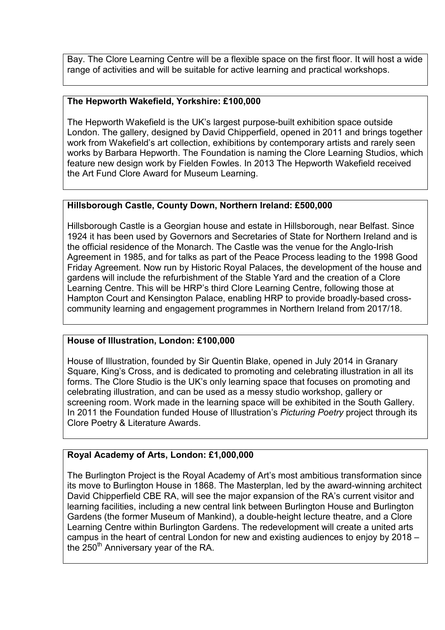Bay. The Clore Learning Centre will be a flexible space on the first floor. It will host a wide range of activities and will be suitable for active learning and practical workshops.

### **The Hepworth Wakefield, Yorkshire: £100,000**

The Hepworth Wakefield is the UK's largest purpose-built exhibition space outside London. The gallery, designed by David Chipperfield, opened in 2011 and brings together work from Wakefield's art collection, exhibitions by contemporary artists and rarely seen works by Barbara Hepworth. The Foundation is naming the Clore Learning Studios, which feature new design work by Fielden Fowles. In 2013 The Hepworth Wakefield received the Art Fund Clore Award for Museum Learning.

### **Hillsborough Castle, County Down, Northern Ireland: £500,000**

Hillsborough Castle is a Georgian house and estate in Hillsborough, near Belfast. Since 1924 it has been used by Governors and Secretaries of State for Northern Ireland and is the official residence of the Monarch. The Castle was the venue for the Anglo-Irish Agreement in 1985, and for talks as part of the Peace Process leading to the 1998 Good Friday Agreement. Now run by Historic Royal Palaces, the development of the house and gardens will include the refurbishment of the Stable Yard and the creation of a Clore Learning Centre. This will be HRP's third Clore Learning Centre, following those at Hampton Court and Kensington Palace, enabling HRP to provide broadly-based crosscommunity learning and engagement programmes in Northern Ireland from 2017/18.

#### **House of Illustration, London: £100,000**

House of Illustration, founded by Sir Quentin Blake, opened in July 2014 in Granary Square, King's Cross, and is dedicated to promoting and celebrating illustration in all its forms. The Clore Studio is the UK's only learning space that focuses on promoting and celebrating illustration, and can be used as a messy studio workshop, gallery or screening room. Work made in the learning space will be exhibited in the South Gallery. In 2011 the Foundation funded House of Illustration's *Picturing Poetry* project through its Clore Poetry & Literature Awards.

# **Royal Academy of Arts, London: £1,000,000**

The Burlington Project is the Royal Academy of Art's most ambitious transformation since its move to Burlington House in 1868. The Masterplan, led by the award-winning architect David Chipperfield CBE RA, will see the major expansion of the RA's current visitor and learning facilities, including a new central link between Burlington House and Burlington Gardens (the former Museum of Mankind), a double-height lecture theatre, and a Clore Learning Centre within Burlington Gardens. The redevelopment will create a united arts campus in the heart of central London for new and existing audiences to enjoy by 2018 – the  $250<sup>th</sup>$  Anniversary year of the RA.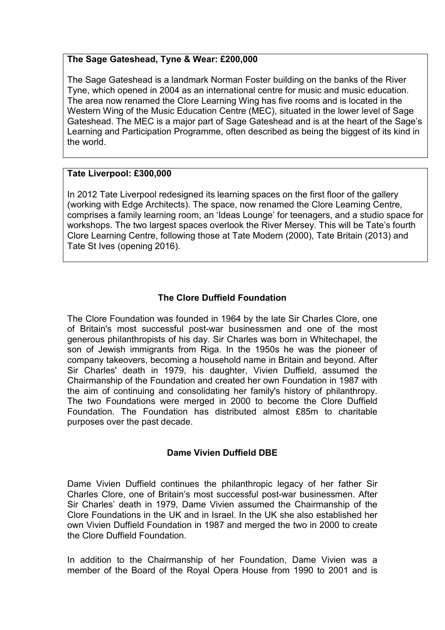### **The Sage Gateshead, Tyne & Wear: £200,000**

The Sage Gateshead is a landmark Norman Foster building on the banks of the River Tyne, which opened in 2004 as an international centre for music and music education. The area now renamed the Clore Learning Wing has five rooms and is located in the Western Wing of the Music Education Centre (MEC), situated in the lower level of Sage Gateshead. The MEC is a major part of Sage Gateshead and is at the heart of the Sage's Learning and Participation Programme, often described as being the biggest of its kind in the world.

### **Tate Liverpool: £300,000**

In 2012 Tate Liverpool redesigned its learning spaces on the first floor of the gallery (working with Edge Architects). The space, now renamed the Clore Learning Centre, comprises a family learning room, an 'Ideas Lounge' for teenagers, and a studio space for workshops. The two largest spaces overlook the River Mersey. This will be Tate's fourth Clore Learning Centre, following those at Tate Modern (2000), Tate Britain (2013) and Tate St Ives (opening 2016).

# **The Clore Duffield Foundation**

The Clore Foundation was founded in 1964 by the late Sir Charles Clore, one of Britain's most successful post-war businessmen and one of the most generous philanthropists of his day. Sir Charles was born in Whitechapel, the son of Jewish immigrants from Riga. In the 1950s he was the pioneer of company takeovers, becoming a household name in Britain and beyond. After Sir Charles' death in 1979, his daughter, Vivien Duffield, assumed the Chairmanship of the Foundation and created her own Foundation in 1987 with the aim of continuing and consolidating her family's history of philanthropy. The two Foundations were merged in 2000 to become the Clore Duffield Foundation. The Foundation has distributed almost £85m to charitable purposes over the past decade.

# **Dame Vivien Duffield DBE**

Dame Vivien Duffield continues the philanthropic legacy of her father Sir Charles Clore, one of Britain's most successful post-war businessmen. After Sir Charles' death in 1979, Dame Vivien assumed the Chairmanship of the Clore Foundations in the UK and in Israel. In the UK she also established her own Vivien Duffield Foundation in 1987 and merged the two in 2000 to create the Clore Duffield Foundation.

In addition to the Chairmanship of her Foundation, Dame Vivien was a member of the Board of the Royal Opera House from 1990 to 2001 and is